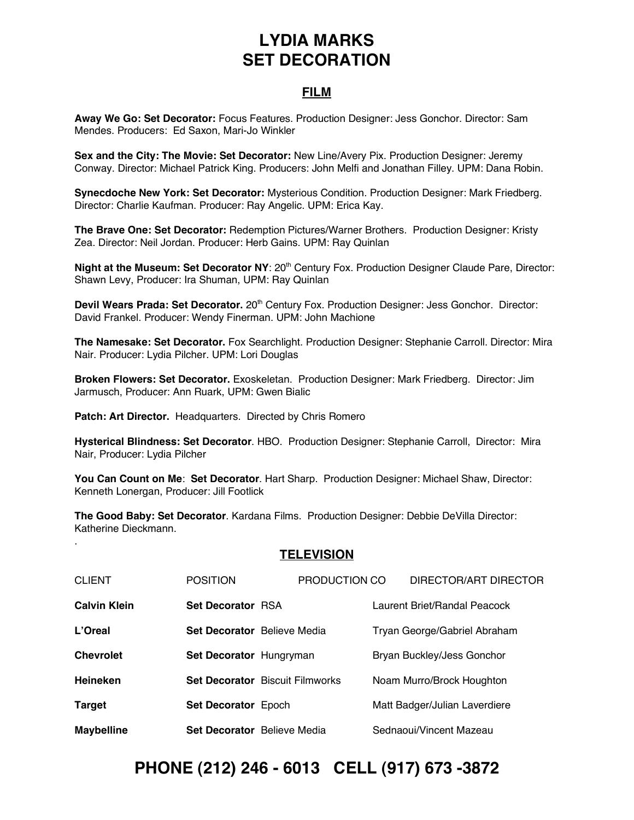## **LYDIA MARKS SET DECORATION**

### **FILM**

**Away We Go: Set Decorator:** Focus Features. Production Designer: Jess Gonchor. Director: Sam Mendes. Producers: Ed Saxon, Mari-Jo Winkler

**Sex and the City: The Movie: Set Decorator:** New Line/Avery Pix. Production Designer: Jeremy Conway. Director: Michael Patrick King. Producers: John Melfi and Jonathan Filley. UPM: Dana Robin.

**Synecdoche New York: Set Decorator:** Mysterious Condition. Production Designer: Mark Friedberg. Director: Charlie Kaufman. Producer: Ray Angelic. UPM: Erica Kay.

**The Brave One: Set Decorator:** Redemption Pictures/Warner Brothers. Production Designer: Kristy Zea. Director: Neil Jordan. Producer: Herb Gains. UPM: Ray Quinlan

**Night at the Museum: Set Decorator NY: 20<sup>th</sup> Century Fox. Production Designer Claude Pare, Director:** Shawn Levy, Producer: Ira Shuman, UPM: Ray Quinlan

**Devil Wears Prada: Set Decorator.** 20th Century Fox. Production Designer: Jess Gonchor. Director: David Frankel. Producer: Wendy Finerman. UPM: John Machione

**The Namesake: Set Decorator.** Fox Searchlight. Production Designer: Stephanie Carroll. Director: Mira Nair. Producer: Lydia Pilcher. UPM: Lori Douglas

**Broken Flowers: Set Decorator.** Exoskeletan. Production Designer: Mark Friedberg. Director: Jim Jarmusch, Producer: Ann Ruark, UPM: Gwen Bialic

**Patch: Art Director.** Headquarters. Directed by Chris Romero

.

**Hysterical Blindness: Set Decorator**. HBO. Production Designer: Stephanie Carroll, Director: Mira Nair, Producer: Lydia Pilcher

**You Can Count on Me**: **Set Decorator**. Hart Sharp. Production Designer: Michael Shaw, Director: Kenneth Lonergan, Producer: Jill Footlick

**The Good Baby: Set Decorator**. Kardana Films. Production Designer: Debbie DeVilla Director: Katherine Dieckmann.

#### **TELEVISION**

| <b>CLIENT</b>       | <b>POSITION</b>             | PRODUCTION CO                          | DIRECTOR/ART DIRECTOR         |
|---------------------|-----------------------------|----------------------------------------|-------------------------------|
| <b>Calvin Klein</b> | <b>Set Decorator RSA</b>    |                                        | Laurent Briet/Randal Peacock  |
| L'Oreal             | Set Decorator Believe Media |                                        | Tryan George/Gabriel Abraham  |
| <b>Chevrolet</b>    | Set Decorator Hungryman     |                                        | Bryan Buckley/Jess Gonchor    |
| <b>Heineken</b>     |                             | <b>Set Decorator</b> Biscuit Filmworks | Noam Murro/Brock Houghton     |
| Target              | <b>Set Decorator Epoch</b>  |                                        | Matt Badger/Julian Laverdiere |
| <b>Maybelline</b>   | Set Decorator Believe Media |                                        | Sednaoui/Vincent Mazeau       |

### **PHONE (212) 246 - 6013 CELL (917) 673 -3872**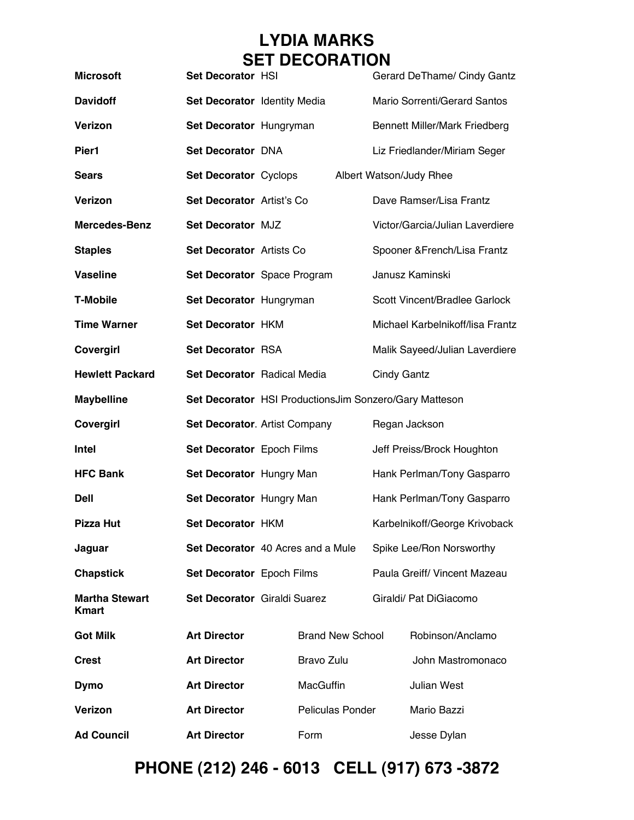# **LYDIA MARKS SET DECORATION**

| <b>Microsoft</b>                      | Set Decorator HSI            |                                                        |      |                                  |                               | Gerard DeThame/ Cindy Gantz          |  |
|---------------------------------------|------------------------------|--------------------------------------------------------|------|----------------------------------|-------------------------------|--------------------------------------|--|
| <b>Davidoff</b>                       | Set Decorator Identity Media |                                                        |      |                                  |                               | Mario Sorrenti/Gerard Santos         |  |
| <b>Verizon</b>                        | Set Decorator Hungryman      |                                                        |      |                                  |                               | <b>Bennett Miller/Mark Friedberg</b> |  |
| Pier1                                 | Set Decorator DNA            |                                                        |      |                                  |                               | Liz Friedlander/Miriam Seger         |  |
| <b>Sears</b>                          | Set Decorator Cyclops        |                                                        |      |                                  |                               | Albert Watson/Judy Rhee              |  |
| <b>Verizon</b>                        | Set Decorator Artist's Co    |                                                        |      |                                  |                               | Dave Ramser/Lisa Frantz              |  |
| <b>Mercedes-Benz</b>                  | Set Decorator MJZ            |                                                        |      |                                  |                               | Victor/Garcia/Julian Laverdiere      |  |
| <b>Staples</b>                        | Set Decorator Artists Co     |                                                        |      |                                  | Spooner & French/Lisa Frantz  |                                      |  |
| <b>Vaseline</b>                       |                              | Set Decorator Space Program                            |      | Janusz Kaminski                  |                               |                                      |  |
| <b>T-Mobile</b>                       | Set Decorator Hungryman      |                                                        |      | Scott Vincent/Bradlee Garlock    |                               |                                      |  |
| <b>Time Warner</b>                    | Set Decorator HKM            |                                                        |      | Michael Karbelnikoff/lisa Frantz |                               |                                      |  |
| Covergirl                             | Set Decorator RSA            |                                                        |      | Malik Sayeed/Julian Laverdiere   |                               |                                      |  |
| <b>Hewlett Packard</b>                | Set Decorator Radical Media  |                                                        |      | <b>Cindy Gantz</b>               |                               |                                      |  |
| <b>Maybelline</b>                     |                              | Set Decorator HSI ProductionsJim Sonzero/Gary Matteson |      |                                  |                               |                                      |  |
| Covergirl                             |                              | Set Decorator. Artist Company                          |      | Regan Jackson                    |                               |                                      |  |
| <b>Intel</b>                          | Set Decorator Epoch Films    |                                                        |      | Jeff Preiss/Brock Houghton       |                               |                                      |  |
| <b>HFC Bank</b>                       | Set Decorator Hungry Man     |                                                        |      | Hank Perlman/Tony Gasparro       |                               |                                      |  |
| <b>Dell</b>                           | Set Decorator Hungry Man     |                                                        |      | Hank Perlman/Tony Gasparro       |                               |                                      |  |
| <b>Pizza Hut</b>                      | Set Decorator HKM            |                                                        |      |                                  | Karbelnikoff/George Krivoback |                                      |  |
| Jaguar                                |                              | Set Decorator 40 Acres and a Mule                      |      |                                  | Spike Lee/Ron Norsworthy      |                                      |  |
| <b>Chapstick</b>                      | Set Decorator Epoch Films    |                                                        |      |                                  | Paula Greiff/ Vincent Mazeau  |                                      |  |
| <b>Martha Stewart</b><br><b>Kmart</b> | Set Decorator Giraldi Suarez |                                                        |      |                                  |                               | Giraldi/ Pat DiGiacomo               |  |
| <b>Got Milk</b>                       | <b>Art Director</b>          | <b>Brand New School</b>                                |      |                                  | Robinson/Anclamo              |                                      |  |
| <b>Crest</b>                          | <b>Art Director</b>          | Bravo Zulu                                             |      |                                  | John Mastromonaco             |                                      |  |
| <b>Dymo</b>                           | <b>Art Director</b>          | <b>MacGuffin</b>                                       |      |                                  |                               | Julian West                          |  |
| Verizon                               | <b>Art Director</b>          | <b>Peliculas Ponder</b>                                |      |                                  |                               | Mario Bazzi                          |  |
| <b>Ad Council</b>                     | <b>Art Director</b>          |                                                        | Form |                                  |                               | Jesse Dylan                          |  |

# **PHONE (212) 246 - 6013 CELL (917) 673 -3872**